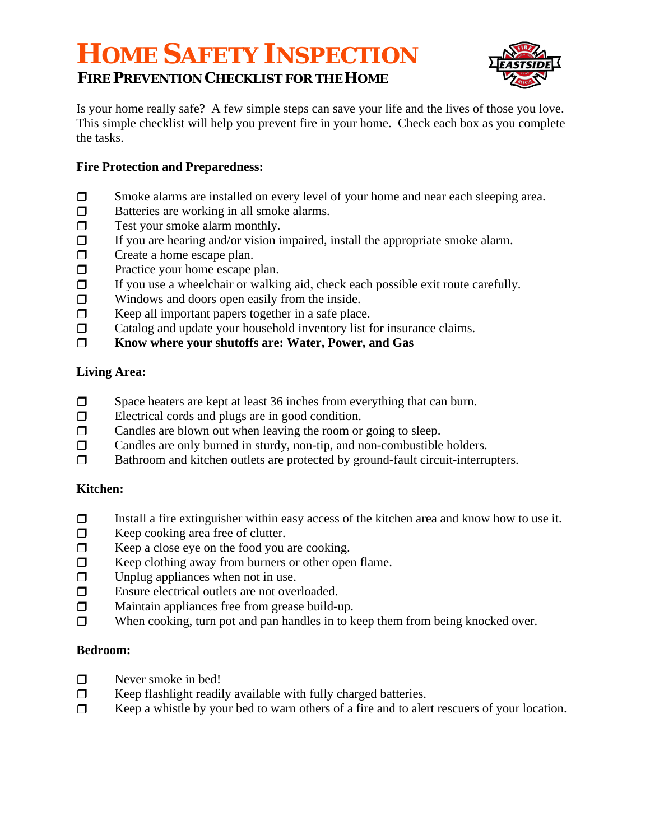# **HOME SAFETY INSPECTION FIRE PREVENTION CHECKLIST FOR THE HOME**



Is your home really safe? A few simple steps can save your life and the lives of those you love. This simple checklist will help you prevent fire in your home. Check each box as you complete the tasks.

## **Fire Protection and Preparedness:**

- Smoke alarms are installed on every level of your home and near each sleeping area.
- **Batteries are working in all smoke alarms.**
- **Test your smoke alarm monthly.**
- $\Box$  If you are hearing and/or vision impaired, install the appropriate smoke alarm.
- **Create a home escape plan.**
- **Practice your home escape plan.**
- If you use a wheelchair or walking aid, check each possible exit route carefully.
- $\Box$  Windows and doors open easily from the inside.
- $\Box$  Keep all important papers together in a safe place.
- $\Box$  Catalog and update your household inventory list for insurance claims.
- **Know where your shutoffs are: Water, Power, and Gas**

## **Living Area:**

- $\Box$  Space heaters are kept at least 36 inches from everything that can burn.
- Electrical cords and plugs are in good condition.
- $\Box$  Candles are blown out when leaving the room or going to sleep.
- Candles are only burned in sturdy, non-tip, and non-combustible holders.
- □ Bathroom and kitchen outlets are protected by ground-fault circuit-interrupters.

# **Kitchen:**

- $\Box$  Install a fire extinguisher within easy access of the kitchen area and know how to use it.
- $\Box$  Keep cooking area free of clutter.
- $\Box$  Keep a close eye on the food you are cooking.
- $\Box$  Keep clothing away from burners or other open flame.
- $\Box$  Unplug appliances when not in use.
- Ensure electrical outlets are not overloaded.
- $\Box$  Maintain appliances free from grease build-up.
- $\Box$  When cooking, turn pot and pan handles in to keep them from being knocked over.

#### **Bedroom:**

- $\Box$  Never smoke in bed!
- $\Box$  Keep flashlight readily available with fully charged batteries.
- □ Keep a whistle by your bed to warn others of a fire and to alert rescuers of your location.